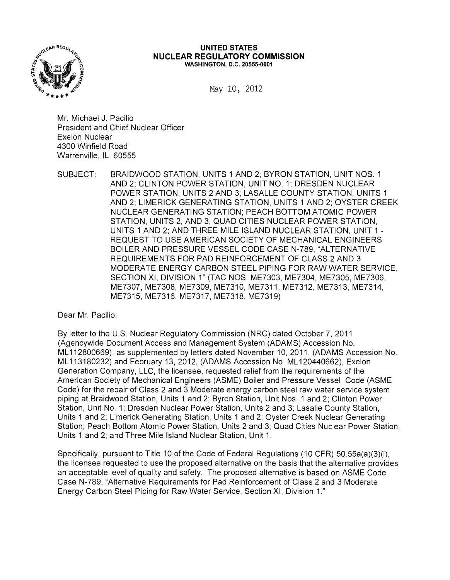

#### **UNITED STATES NUCLEAR REGULATORY COMMISSION** WASHINGTON, D.C. 20555-0001

May 10, 2012

Mr. Michael J. Pacilio President and Chief Nuclear Officer Exelon Nuclear 4300 Winfield Road Warrenville, IL 60555

SUBJECT: BRAIDWOOD STATION, UNITS 1 AND 2; BYRON STATION, UNIT NOS. 1 AND 2; CLINTON POWER STATION, UNIT NO.1; DRESDEN NUCLEAR POWER STATION, UNITS 2 AND 3; LASALLE COUNTY STATION, UNITS 1 AND 2; LIMERICK GENERATING STATION, UNITS 1 AND 2; OYSTER CREEK NUCLEAR GENERATING STATION; PEACH BOTTOM ATOMIC POWER STATION, UNITS 2, AND 3; QUAD CITIES NUCLEAR POWER STATION, UNITS 1 AND 2; AND THREE MILE ISLAND NUCLEAR STATION, UNIT 1 REQUEST TO USE AMERICAN SOCIETY OF MECHANICAL ENGINEERS BOILER AND PRESSURE VESSEL CODE CASE N-789, "ALTERNATIVE REQUIREMENTS FOR PAD REINFORCEMENT OF CLASS 2 AND 3 MODERATE ENERGY CARBON STEEL PIPING FOR RAW WATER SERVICE, SECTION XI, DIVISION 1" (TAC NOS. ME7303, ME7304, ME7305, ME7306, ME7307, ME7308, ME7309, ME7310, ME7311, ME7312, ME7313, ME7314, ME7315, ME7316, ME7317, ME7318, ME7319)

Dear Mr. Pacilio:

By letter to the U.S. Nuclear Regulatory Commission (NRC) dated October 7, 2011 (Agencywide Document Access and Management System (ADAMS) Accession No. ML 112800669), as supplemented by letters dated November 10, 2011, (ADAMS Accession No. ML 113180232) and February 13, 2012, (ADAMS Accession No. ML 120440662), Exelon Generation Company, LLC, the licensee, requested relief from the requirements of the American Society of Mechanical Engineers (ASME) Boiler and Pressure Vessel Code (ASME Code) for the repair of Class 2 and 3 Moderate energy carbon steel raw water service system piping at Braidwood Station, Units 1 and 2; Byron Station, Unit Nos. 1 and 2; Clinton Power Station, Unit No.1; Dresden Nuclear Power Station, Units 2 and 3; Lasalle County Station, Units 1 and 2; Limerick Generating Station, Units 1 and 2; Oyster Creek Nuclear Generating Station; Peach Bottom Atomic Power Station, Units 2 and 3; Quad Cities Nuclear Power Station, Units 1 and 2; and Three Mile Island Nuclear Station, Unit 1.

Specifically, pursuant to Title 10 of the Code of Federal Regulations (10 CFR) 50.55a(a)(3)(i), the licensee requested to use the proposed alternative on the basis that the alternative provides an acceptable level of quality and safety. The proposed alternative is based on ASME Code Case N-789, "Alternative Requirements for Pad Reinforcement of Class 2 and 3 Moderate Energy Carbon Steel Piping for Raw Water Service, Section XI, Division 1."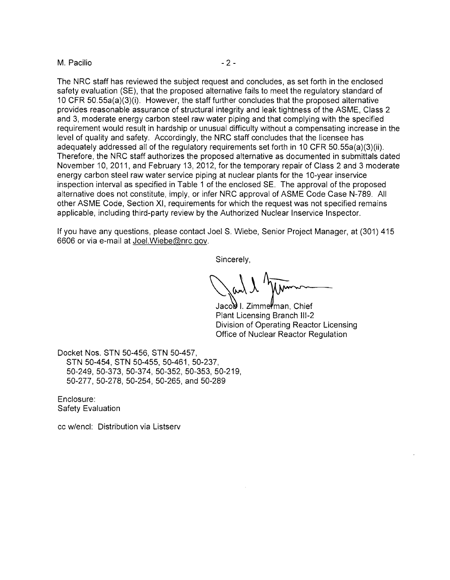#### M. Pacilio  $-2 -$

The NRC staff has reviewed the subject request and concludes, as set forth in the enclosed safety evaluation (SE), that the proposed alternative fails to meet the regulatory standard of 10 CFR 50.55a(a)(3)(i). However, the staff further concludes that the proposed alternative provides reasonable assurance of structural integrity and leak tightness of the ASME, Class 2 and 3, moderate energy carbon steel raw water piping and that complying with the specified requirement would result in hardship or unusual difficulty without a compensating increase in the level of quality and safety. Accordingly, the NRC staff concludes that the licensee has adequately addressed all of the regulatory requirements set forth in 10 CFR 50.55a(a)(3)(ii). Therefore, the NRC staff authorizes the proposed alternative as documented in submittals dated November 10, 2011, and February 13, 2012, for the temporary repair of Class 2 and 3 moderate energy carbon steel raw water service piping at nuclear plants for the 10-year inservice inspection interval as specified in Table 1 of the enclosed SE. The approval of the proposed alternative does not constitute, imply, or infer NRC approval of ASME Code Case N-789. All other ASME Code, Section XI, requirements for which the request was not specified remains applicable, including third-party review by the Authorized Nuclear Inservice Inspector.

If you have any questions, please contact Joel S. Wiebe, Senior Project Manager, at (301) 415 6606 or via e-mail at JoeI.Wiebe@nrc.gov.

Sincerely,

Jaco**b** I. Zimme**ł**man, Chief Plant Licensing Branch 111-2 Division of Operating Reactor Licensing Office of Nuclear Reactor Regulation

Docket Nos. STN 50-456, STN 50-457, STN 50-454, STN 50-455, 50-461,50-237, 50-249,50-373,50-374,50-352,50-353,50-219, 50-277, 50-278, 50-254, 50-265, and 50-289

Enclosure: Safety Evaluation

cc w/encl: Distribution via Listserv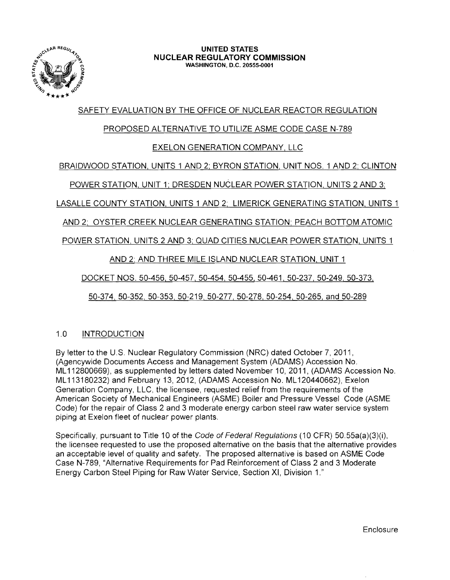

#### **UNITED STATES NUCLEAR REGULATORY COMMISSION** WASHINGTON, D.C. 20555·0001

# SAFETY EVALUATION BY THE OFFICE OF NUCLEAR REACTOR REGULATION

# PROPOSED ALTERNATIVE TO UTILIZE ASME CODE CASE N-789

# EXELON GENERATION COMPANY, LLC

# BRAIDWOOD STATION, UNITS 1 AND 2; BYRON STATION, UNIT NOS. 1 AND 2; CLINTON

POWER STATION, UNIT 1; DRESDEN NUCLEAR POWER STATION, UNITS 2 AND 3:

LASALLE COUNTY STATION, UNITS 1 AND 2; LIMERICK GENERATING STATION, UNITS 1

AND 2; OYSTER CREEK NUCLEAR GENERATING STATION; PEACH BOTTOM ATOMIC

POWER STATION. UNITS 2 AND 3; QUAD CITIES NUCLEAR POWER STATION, UNITS 1

AND 2: AND THREE MILE ISLAND NUCLEAR STATION, UNIT 1

DOCKET NOS. 50-456, 50-457,50-454, 50-455,50-461, 50-237, 50-249, 50-373,

50-374.50-352,50-353,50·219,50-277,50-278, 50-254, 50-265, and 50-289

## 1.0 INTRODUCTION

By letter to the U.S. Nuclear Regulatory Commission (NRC) dated October 7, 2011, (Agencywide Documents Access and Management System (ADAMS) Accession No. ML112800669), as supplemented by letters dated November 10,2011, (ADAMS Accession No. ML113180232) and February 13, 2012, (ADAMS Accession No. ML120440662), Exelon Generation Company, LLC, the licensee, requested relief from the requirements of the American Society of Mechanical Engineers (ASME) Boiler and Pressure Vessel Code (ASME Code) for the repair of Class 2 and 3 moderate energy carbon steel raw water service system piping at Exelon fleet of nuclear power plants.

Specifically, pursuant to Title 10 of the Code of Federal Regulations (10 CFR) 50.55a(a)(3)(i), the licensee requested to use the proposed alternative on the basis that the alternative provides an acceptable level of quality and safety. The proposed alternative is based on ASME Code Case N-789, "Alternative Requirements for Pad Reinforcement of Class 2 and 3 Moderate Energy Carbon Steel Piping for Raw Water Service, Section XI, Division 1."

**Enclosure**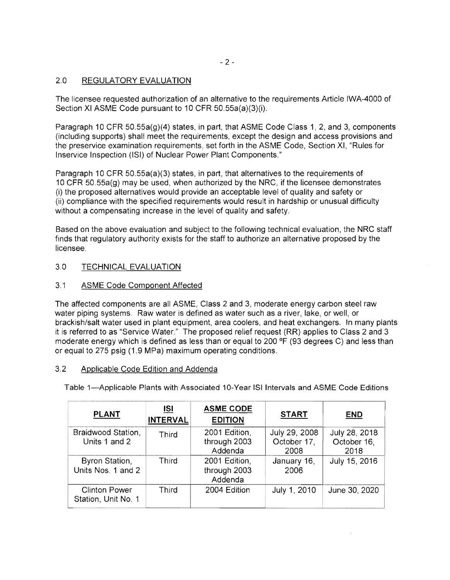$-2-$ 

# 2.0 REGULATORY EVALUATION

The licensee requested authorization of an alternative to the requirements Article IWA-4000 of Section XI ASME Code pursuant to 10 CFR 50.55a(a)(3)(i).

Paragraph 10 CFR 50.55a(g)(4) states, in part, that ASME Code Class 1,2, and 3, components (including supports) shall meet the requirements, except the design and access provisions and the preservice examination requirements, set forth in the ASME Code, Section XI, "Rules for Inservice Inspection (lSI) of Nuclear Power Plant Components."

Paragraph 10 CFR 50.55a(a)(3) states, in part, that alternatives to the requirements of 10 CFR 50.55a(g) may be used, when authorized by the NRC, if the licensee demonstrates (i) the proposed alternatives would provide an acceptable level of quality and safety or (ii) compliance with the specified requirements would result in hardship or unusual difficulty without a compensating increase in the level of quality and safety.

Based on the above evaluation and subject to the following technical evaluation, the NRC staff finds that regulatory authority exists for the staff to authorize an alternative proposed by the licensee.

## 3.0 TECHNICAL EVALUATION

## 3.1 ASME Code Component Affected

The affected components are all ASME, Class 2 and 3, moderate energy carbon steel raw water piping systems. Raw water is defined as water such as a river, lake, or well, or brackish/salt water used in plant equipment, area coolers, and heat exchangers. In many plants it is referred to as "Service Water." The proposed relief request (RR) applies to Class 2 and 3 moderate energy which is defined as less than or equal to 200  $\textdegree$ F (93 degrees C) and less than or equal to 275 psig (1.9 MPa) maximum operating conditions.

## 3.2 Applicable Code Edition and Addenda

Table 1-Applicable Plants with Associated 10-Year lSI Intervals and ASME Code Editions

| <b>PLANT</b>                                | ISI<br><b>INTERVAL</b> | <b>ASME CODE</b><br><b>EDITION</b>       | <b>START</b>                         | <b>END</b>                           |
|---------------------------------------------|------------------------|------------------------------------------|--------------------------------------|--------------------------------------|
| Braidwood Station,<br>Units 1 and 2         | Third                  | 2001 Edition,<br>through 2003<br>Addenda | July 29, 2008<br>October 17,<br>2008 | July 28, 2018<br>October 16,<br>2018 |
| <b>Byron Station,</b><br>Units Nos. 1 and 2 | Third                  | 2001 Edition,<br>through 2003<br>Addenda | January 16,<br>2006                  | July 15, 2016                        |
| <b>Clinton Power</b><br>Station, Unit No. 1 | Third                  | 2004 Edition                             | July 1, 2010                         | June 30, 2020                        |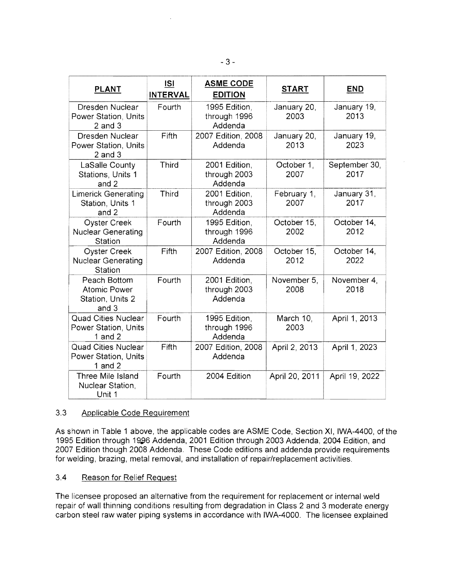| <b>PLANT</b>                                                       | <b>ISI</b><br><b>INTERVAL</b> | <b>ASME CODE</b><br><b>EDITION</b>       | <b>START</b>        | <b>END</b>            |
|--------------------------------------------------------------------|-------------------------------|------------------------------------------|---------------------|-----------------------|
| Dresden Nuclear<br>Power Station, Units<br>$2$ and $3$             | Fourth                        | 1995 Edition,<br>through 1996<br>Addenda | January 20,<br>2003 | January 19,<br>2013   |
| Dresden Nuclear<br>Power Station, Units<br>$2$ and $3$             | Fifth                         | 2007 Edition, 2008<br>Addenda            | January 20,<br>2013 | January 19,<br>2023   |
| LaSalle County<br>Stations, Units 1<br>and 2                       | Third                         | 2001 Edition,<br>through 2003<br>Addenda | October 1,<br>2007  | September 30,<br>2017 |
| <b>Limerick Generating</b><br>Station, Units 1<br>and 2            | <b>Third</b>                  | 2001 Edition,<br>through 2003<br>Addenda | February 1,<br>2007 | January 31,<br>2017   |
| <b>Oyster Creek</b><br><b>Nuclear Generating</b><br>Station        | Fourth                        | 1995 Edition,<br>through 1996<br>Addenda | October 15,<br>2002 | October 14,<br>2012   |
| <b>Oyster Creek</b><br><b>Nuclear Generating</b><br>Station        | Fifth                         | 2007 Edition, 2008<br>Addenda            | October 15,<br>2012 | October 14,<br>2022   |
| Peach Bottom<br><b>Atomic Power</b><br>Station, Units 2<br>and $3$ | Fourth                        | 2001 Edition,<br>through 2003<br>Addenda | November 5,<br>2008 | November 4,<br>2018   |
| <b>Quad Cities Nuclear</b><br>Power Station, Units<br>1 and $2$    | Fourth                        | 1995 Edition,<br>through 1996<br>Addenda | March 10,<br>2003   | April 1, 2013         |
| <b>Quad Cities Nuclear</b><br>Power Station, Units<br>1 and $2$    | Fifth                         | 2007 Edition, 2008<br>Addenda            | April 2, 2013       | April 1, 2023         |
| Three Mile Island<br>Nuclear Station,<br>Unit 1                    | Fourth                        | 2004 Edition                             | April 20, 2011      | April 19, 2022        |

## 3.3 Applicable Code Requirement

As shown in Table 1 above, the applicable codes are ASME Code, Section XI, IWA-4400, of the 1995 Edition through 1996 Addenda, 2001 Edition through 2003 Addenda, 2004 Edition, and 2007 Edition though 2008 Addenda. These Code editions and addenda provide requirements for welding, brazing, metal removal, and installation of repair/replacement activities.

#### 3.4 Reason for Relief Request

The licensee proposed an alternative from the requirement for replacement or internal weld repair of wall thinning conditions resulting from degradation in Class 2 and 3 moderate energy carbon steel raw water piping systems in accordance with IWA-4000. The licensee explained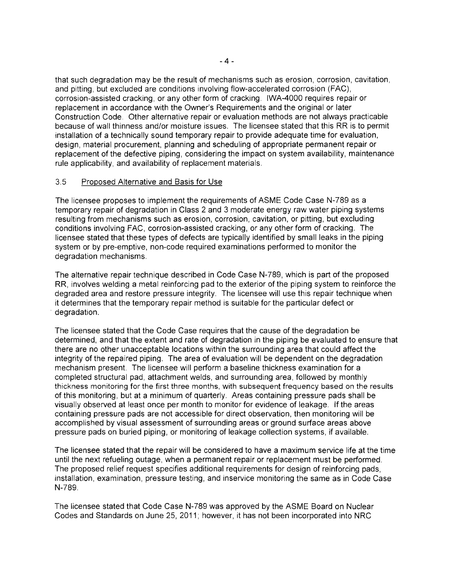that such degradation may be the result of mechanisms such as erosion, corrosion, cavitation, and pitting, but excluded are conditions involving flow-accelerated corrosion (FAC), corrosion-assisted cracking, or any other form of cracking. IWA-4000 requires repair or replacement in accordance with the Owner's Requirements and the original or later Construction Code. Other alternative repair or evaluation methods are not always practicable because of wall thinness and/or moisture issues. The licensee stated that this RR is to permit installation of a technically sound temporary repair to provide adequate time for evaluation, design, material procurement, planning and scheduling of appropriate permanent repair or replacement of the defective piping, considering the impact on system availability, maintenance rule applicability, and availability of replacement materials.

## 3.5 Proposed Alternative and Basis for Use

The licensee proposes to implement the requirements of ASME Code Case N-789 as a temporary repair of degradation in Class 2 and 3 moderate energy raw water piping systems resulting from mechanisms such as erosion, corrosion, cavitation, or pitting, but excluding conditions involving FAC, corrosion-assisted cracking, or any other form of cracking. The licensee stated that these types of defects are typically identified by small leaks in the piping system or by pre-emptive, non-code required examinations performed to monitor the degradation mechanisms.

The alternative repair technique described in Code Case N-789, which is part of the proposed RR, involves welding a metal reinforcing pad to the exterior of the piping system to reinforce the degraded area and restore pressure integrity. The licensee will use this repair technique when it determines that the temporary repair method is suitable for the particular defect or , degradation.

The licensee stated that the Code Case requires that the cause of the degradation be determined, and that the extent and rate of degradation in the piping be evaluated to ensure that there are no other unacceptable locations within the surrounding area that could affect the integrity of the repaired piping. The area of evaluation will be dependent on the degradation mechanism present. The licensee will perform a baseline thickness examination for a completed structural pad, attachment welds, and surrounding area, followed by monthly thickness monitoring for the first three months, with subsequent frequency based on the results of this monitoring, but at a minimum of quarterly. Areas containing pressure pads shall be visually observed at least once per month to monitor for evidence of leakage. If the areas containing pressure pads are not accessible for direct observation, then monitoring will be accomplished by visual assessment of surrounding areas or ground surface areas above pressure pads on buried piping, or monitoring of leakage collection systems, if available.

The licensee stated that the repair will be considered to have a maximum service life at the time until the next refueling outage, when a permanent repair or replacement must be performed. The proposed relief request specifies additional requirements for design of reinforcing pads, installation, examination, pressure testing, and inservice monitoring the same as in Code Case N-789.

The licensee stated that Code Case N-789 was approved by the ASME Board on Nuclear Codes and Standards on June 25, 2011; however, it has not been incorporated into NRC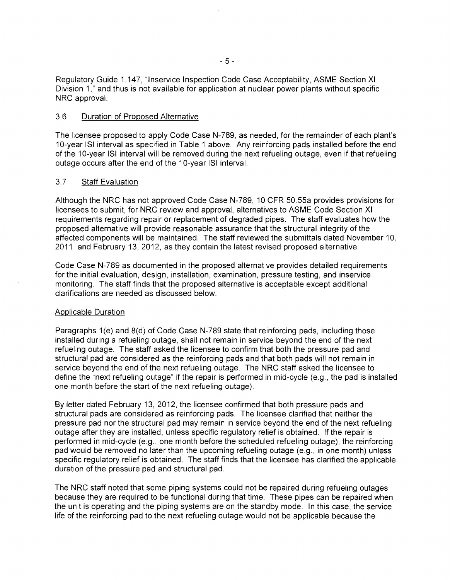Regulatory Guide 1.147, "Inservice Inspection Code Case Acceptability, ASME Section XI Division 1," and thus is not available for application at nuclear power plants without specific NRC approval.

#### 3.6 Duration of Proposed Alternative

The licensee proposed to apply Code Case N-789, as needed, for the remainder of each plant's 1O-year lSI interval as specified in Table 1 above. Any reinforcing pads installed before the end of the 10-year lSI interval will be removed during the next refueling outage, even if that refueling outage occurs after the end of the 10-year ISI interval.

## 3.7 Staff Evaluation

Although the NRC has not approved Code Case N-789, 10 CFR 50.55a provides provisions for licensees to submit, for NRC review and approval, alternatives to ASME Code Section XI requirements regarding repair or replacement of degraded pipes. The staff evaluates how the proposed alternative will provide reasonable assurance that the structural integrity of the affected components will be maintained. The staff reviewed the submittals dated November 10, 2011, and February 13, 2012, as they contain the latest revised proposed alternative.

Code Case N-789 as documented in the proposed alternative provides detailed requirements for the initial evaluation, design, installation, examination, pressure testing, and inservice monitoring. The staff finds that the proposed alternative is acceptable except additional clarifications are needed as discussed below.

## Applicable Duration

Paragraphs 1(e) and 8(d) of Code Case N-789 state that reinforcing pads, including those installed during a refueling outage, shall not remain in service beyond the end of the next refueling outage. The staff asked the licensee to confirm that both the pressure pad and structural pad are considered as the reinforcing pads and that both pads will not remain in service beyond the end of the next refueling outage. The NRC staff asked the licensee to define the "next refueling outage" if the repair is performed in mid-cycle (e.g., the pad is installed one month before the start of the next refueling outage).

By letter dated February 13, 2012, the licensee confirmed that both pressure pads and structural pads are considered as reinforcing pads. The licensee clarified that neither the pressure pad nor the structural pad may remain in service beyond the end of the next refueling outage after they are installed, unless specific regulatory relief is obtained. If the repair is performed in mid-cycle (e.g., one month before the scheduled refueling outage), the reinforcing pad would be removed no later than the upcoming refueling outage (e.g., in one month) unless specific regulatory relief is obtained. The staff finds that the licensee has clarified the applicable duration of the pressure pad and structural pad.

The NRC staff noted that some piping systems could not be repaired during refueling outages because they are required to be functional during that time. These pipes can be repaired when the unit is operating and the piping systems are on the standby mode. In this case, the service life of the reinforcing pad to the next refueling outage would not be applicable because the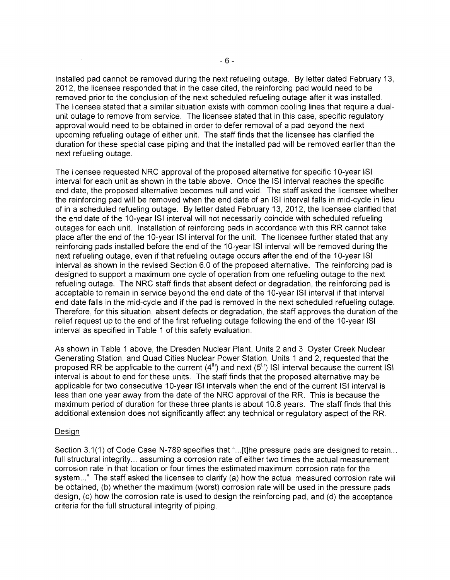installed pad cannot be removed during the next refueling outage. By letter dated February 13, 2012, the licensee responded that in the case cited, the reinforcing pad would need to be removed prior to the conclusion of the next scheduled refueling outage after it was installed. The licensee stated that a similar situation exists with common cooling lines that require a dualunit outage to remove from service. The licensee stated that in this case, specific regulatory approval would need to be obtained in order to defer removal of a pad beyond the next upcoming refueling outage of either unit. The staff finds that the licensee has clarified the duration for these special case piping and that the installed pad will be removed earlier than the next refueling outage.

The licensee requested NRC approval of the proposed alternative for specific 10-year ISI interval for each unit as shown in the table above. Once the lSI interval reaches the specific end date, the proposed alternative becomes null and void. The staff asked the licensee whether the reinforcing pad will be removed when the end date of an lSI interval falls in mid-cycle in lieu of in a scheduled refueling outage. By letter dated February 13, 2012, the licensee clarified that the end date of the 10-year ISI interval will not necessarily coincide with scheduled refueling outages for each unit. Installation of reinforcing pads in accordance with this RR cannot take place after the end of the 10-year ISI interval for the unit. The licensee further stated that any reinforcing pads installed before the end of the 1 O-year lSI interval will be removed during the next refueling outage, even if that refueling outage occurs after the end of the 10-year lSI interval as shown in the revised Section 6.0 of the proposed alternative. The reinforcing pad is designed to support a maximum one cycle of operation from one refueling outage to the next refueling outage. The NRC staff finds that absent defect or degradation, the reinforcing pad is acceptable to remain in service beyond the end date of the 10-year lSI interval if that interval end date falls in the mid-cycle and if the pad is removed in the next scheduled refueling outage. Therefore, for this situation, absent defects or degradation, the staff approves the duration of the relief request up to the end of the first refueling outage following the end of the 10-year ISI interval as specified in Table 1 of this safety evaluation.

As shown in Table 1 above, the Dresden Nuclear Plant, Units 2 and 3, Oyster Creek Nuclear Generating Station, and Quad Cities Nuclear Power Station, Units 1 and 2, requested that the proposed RR be applicable to the current  $(4<sup>th</sup>)$  and next  $(5<sup>th</sup>)$  ISI interval because the current ISI intervai is about to end for these units. The staff finds that the proposed alternative may be applicable for two consecutive 10-year ISI intervals when the end of the current ISI interval is less than one year away from the date of the NRC approval of the RR. This is because the maximum period of duration for these three plants is about 10.8 years. The staff finds that this additional extension does not significantly affect any technical or regulatory aspect of the RR.

## **Design**

Section 3.1(1) of Code Case N-789 specifies that "...[t]he pressure pads are designed to retain... full structural integrity... assuming a corrosion rate of either two times the actual measurement corrosion rate in that location or four times the estimated maximum corrosion rate for the system..." The staff asked the licensee to clarify (a) how the actual measured corrosion rate will be obtained, (b) whether the maximum (worst) corrosion rate will be used in the pressure pads design, (c) how the corrosion rate is used to design the reinforcing pad, and (d) the acceptance criteria for the full structural integrity of piping.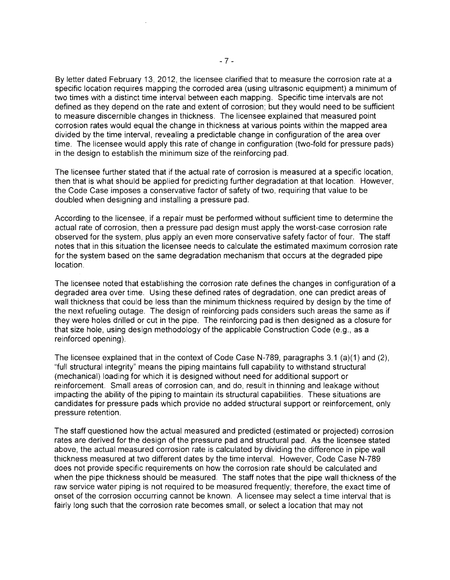By letter dated February 13, 2012, the licensee clarified that to measure the corrosion rate at a specific location requires mapping the corroded area (using ultrasonic equipment) a minimum of two times with a distinct time interval between each mapping. Specific time intervals are not defined as they depend on the rate and extent of corrosion; but they would need to be sufficient to measure discernible changes in thickness. The licensee explained that measured point corrosion rates would equal the change in thickness at various points within the mapped area divided by the time interval, revealing a predictable change in configuration of the area over time. The licensee would apply this rate of change in configuration (two-fold for pressure pads) in the design to establish the minimum size of the reinforcing pad.

The licensee further stated that if the actual rate of corrosion is measured at a specific location, then that is what should be applied for predicting further degradation at that location. However, the Code Case imposes a conservative factor of safety of two, requiring that value to be doubled when designing and installing a pressure pad.

According to the licensee, if a repair must be performed without sufficient time to determine the actual rate of corrosion, then a pressure pad design must apply the worst-case corrosion rate observed for the system, plus apply an even more conservative safety factor of four. The staff notes that in this situation the licensee needs to calculate the estimated maximum corrosion rate for the system based on the same degradation mechanism that occurs at the degraded pipe location.

The licensee noted that establishing the corrosion rate defines the changes in configuration of a degraded area over time. Using these defined rates of degradation, one can predict areas of wall thickness that could be less than the minimum thickness required by design by the time of the next refueling outage. The design of reinforcing pads considers such areas the same as if they were holes drilled or cut in the pipe. The reinforcing pad is then designed as a closure for that size hole, using design methodology of the applicable Construction Code (e.g., as a reinforced opening).

The licensee explained that in the context of Code Case N-789, paragraphs 3.1 (a)(1) and (2), "full structural integrity" means the piping maintains full capability to withstand structural (mechanical) loading for which it is designed without need for additional support or reinforcement. Small areas of corrosion can, and do, result in thinning and leakage without impacting the ability of the piping to maintain its structural capabilities. These situations are candidates for pressure pads which provide no added structural support or reinforcement, only pressure retention.

The staff questioned how the actual measured and predicted (estimated or projected) corrosion rates are derived for the design of the pressure pad and structural pad. As the licensee stated above, the actual measured corrosion rate is calculated by dividing the difference in pipe wall thickness measured at two different dates by the time interval. However, Code Case N-789 does not provide specific requirements on how the corrosion rate should be calculated and when the pipe thickness should be measured. The staff notes that the pipe wall thickness of the raw service water piping is not required to be measured frequently; therefore, the exact time of onset of the corrosion occurring cannot be known. A licensee may select a time interval that is fairly long such that the corrosion rate becomes small, or select a location that may not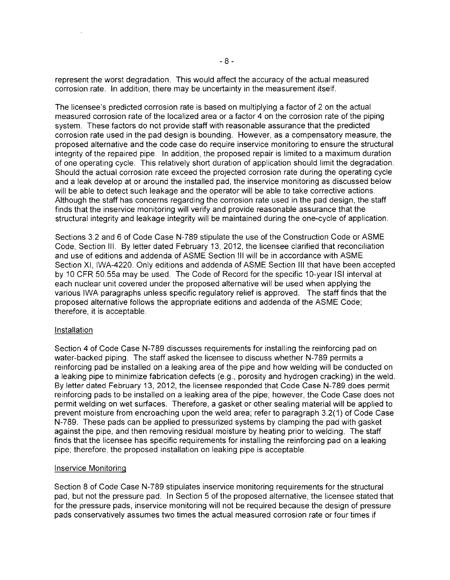represent the worst degradation. This would affect the accuracy of the actual measured corrosion rate. In addition, there may be uncertainty in the measurement itself.

The licensee's predicted corrosion rate is based on multiplying a factor of 2 on the actual measured corrosion rate of the localized area or a factor 4 on the corrosion rate of the piping system. These factors do not provide staff with reasonable assurance that the predicted corrosion rate used in the pad design is bounding. However, as a compensatory measure, the proposed alternative and the code case do require inservice monitoring to ensure the structural integrity of the repaired pipe. In addition, the proposed repair is limited to a maximum duration of one operating cycle. This relatively short duration of application should limit the degradation. Should the actual corrosion rate exceed the projected corrosion rate during the operating cycle and a leak develop at or around the installed pad, the inservice monitoring as discussed below will be able to detect such leakage and the operator will be able to take corrective actions. Although the staff has concerns regarding the corrosion rate used in the pad design, the staff finds that the inservice monitoring will verify and provide reasonable assurance that the structural integrity and leakage integrity will be maintained during the one-cycle of application.

Sections 3.2 and 6 of Code Case N-789 stipulate the use of the Construction Code or ASME Code, Section III. By letter dated February 13, 2012, the licensee clarified that reconciliation and use of editions and addenda of ASME Section III will be in accordance with ASME Section XI, IWA-4220. Only editions and addenda of ASME Section III that have been accepted by 10 CFR 50.55a may be used. The Code of Record for the specific 10-year lSI interval at each nuclear unit covered under the proposed alternative will be used when applying the various IWA paragraphs unless specific regulatory relief is approved. The staff finds that the proposed alternative follows the appropriate editions and addenda of the ASME Code; therefore, it is acceptable.

#### **Installation**

Section 4 of Code Case N-789 discusses requirements for installing the reinforcing pad on water-backed piping. The staff asked the licensee to discuss whether N-789 permits a reinforcing pad be installed on a leaking area of the pipe and how welding will be conducted on a leaking pipe to minimize fabrication defects (e.g., porosity and hydrogen cracking) in the weld. By letter dated February 13, 2012, the licensee responded that Code Case N-789 does permit reinforcing pads to be installed on a leaking area of the pipe; however, the Code Case does not permit welding on wet surfaces. Therefore, a gasket or other sealing material will be applied to prevent moisture from encroaching upon the weld area; refer to paragraph 3.2(1) of Code Case N-789. These pads can be applied to pressurized systems by clamping the pad with gasket against the pipe, and then removing residual moisture by heating prior to welding. The staff finds that the licensee has specific requirements for installing the reinforcing pad on a leaking pipe; therefore, the proposed installation on leaking pipe is acceptable.

#### Inservice Monitoring

Section 8 of Code Case N-789 stipulates inservice monitoring requirements for the structural pad, but not the pressure pad. In Section 5 of the proposed alternative, the licensee stated that for the pressure pads, inservice monitoring will not be required because the design of pressure pads conservatively assumes two times the actual measured corrosion rate or four times if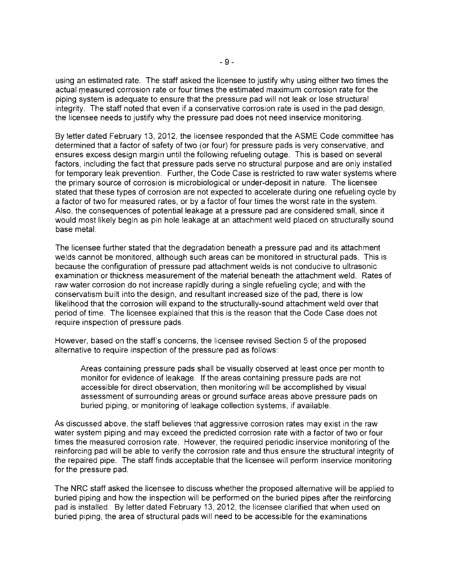using an estimated rate. The staff asked the licensee to justify why using either two times the actual measured corrosion rate or four times the estimated maximum corrosion rate for the piping system is adequate to ensure that the pressure pad will not leak or lose structural integrity. The staff noted that even if a conservative corrosion rate is used in the pad design, the licensee needs to justify why the pressure pad does not need inservice monitoring.

By letter dated February 13, 2012, the licensee responded that the ASME Code committee has determined that a factor of safety of two (or four) for pressure pads is very conservative, and ensures excess design margin until the following refueling outage. This is based on several factors, including the fact that pressure pads serve no structural purpose and are only installed for temporary leak prevention. Further, the Code Case is restricted to raw water systems where the primary source of corrosion is microbiological or under-deposit in nature. The licensee stated that these types of corrosion are not expected to accelerate during one refueling cycle by a factor of two for measured rates, or by a factor of four times the worst rate in the system. Also, the consequences of potential leakage at a pressure pad are considered small, since it would most likely begin as pin hole leakage at an attachment weld placed on structurally sound base metal.

The licensee further stated that the degradation beneath a pressure pad and its attachment welds cannot be monitored, although such areas can be monitored in structural pads. This is because the configuration of pressure pad attachment welds is not conducive to ultrasonic examination or thickness measurement of the material beneath the attachment weld. Rates of raw water corrosion do not increase rapidly during a single refueling cycle; and with the conservatism built into the design, and resultant increased size of the pad, there is low likelihood that the corrosion will expand to the structurally-sound attachment weld over that period of time. The licensee explained that this is the reason that the Code Case does not require inspection of pressure pads.

However, based on the staff's concerns, the licensee revised Section 5 of the proposed alternative to require inspection of the pressure pad as follows:

Areas containing pressure pads shall be visually observed at least once per month to monitor for evidence of leakage. If the areas containing pressure pads are not accessible for direct observation, then monitoring will be accomplished by visual assessment of surrounding areas or ground surface areas above pressure pads on buried piping, or monitoring of leakage collection systems, if available.

As discussed above, the staff believes that aggressive corrosion rates may exist in the raw water system piping and may exceed the predicted corrosion rate with a factor of two or four times the measured corrosion rate. However, the required periodic inservice monitoring of the reinforcing pad will be able to verify the corrosion rate and thus ensure the structural integrity of the repaired pipe. The staff finds acceptable that the licensee will perform inservice monitoring for the pressure pad.

The NRC staff asked the licensee to discuss whether the proposed alternative will be applied to buried piping and how the inspection will be performed on the buried pipes after the reinforcing pad is installed. By letter dated February 13, 2012, the licensee clarified that when used on buried piping, the area of structural pads will need to be accessible for the examinations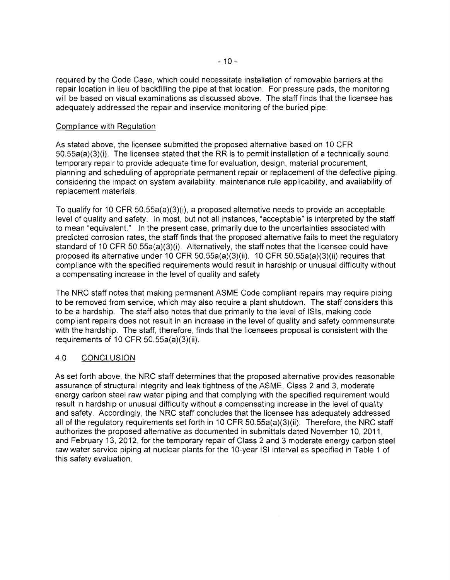required by the Code Case, which could necessitate installation of removable barriers at the repair location in lieu of backfilling the pipe at that location. For pressure pads, the monitoring will be based on visual examinations as discussed above. The staff finds that the licensee has adequately addressed the repair and inservice monitoring of the buried pipe.

#### Compliance with Regulation

As stated above, the licensee submitted the proposed alternative based on 10 CFR 50.55a(a)(3)(i). The licensee stated that the RR is to permit installation of a technically sound temporary repair to provide adequate time for evaluation, design, material procurement, planning and scheduling of appropriate permanent repair or replacement of the defective piping, considering the impact on system availability, maintenance rule applicability, and availability of replacement materials.

To qualify for 10 CFR 50.55a(a)(3)(i), a proposed alternative needs to provide an acceptable level of quality and safety. In most, but not all instances, "acceptable" is interpreted by the staff to mean "equivalent." In the present case, primarily due to the uncertainties associated with predicted corrosion rates, the staff finds that the proposed alternative fails to meet the regulatory standard of 10 CFR 50.55a(a)(3)(i). Alternatively, the staff notes that the licensee could have proposed its alternative under 10 CFR 50.55a(a)(3)(ii). 10 CFR 50.55a(a)(3)(ii) requires that compliance with the specified requirements would result in hardship or unusual difficulty without a compensating increase in the level of quality and safety

The NRC staff notes that making permanent ASME Code compliant repairs may require piping to be removed from service, which may also require a plant shutdown. The staff considers this to be a hardship. The staff also notes that due primarily to the level of ISis, making code compliant repairs does not result in an increase in the level of quality and safety commensurate with the hardship. The staff, therefore, finds that the licensees proposal is consistent with the requirements of 10 CFR 50.55a(a)(3)(ii).

## 4.0 CONCLUSION

As set forth above, the NRC staff determines that the proposed alternative provides reasonable assurance of structural integrity and leak tightness of the ASME, Class 2 and 3, moderate energy carbon steel raw water piping and that complying with the specified requirement would result in hardship or unusual difficulty without a compensating increase in the level of quality and safety. Accordingly, the NRC staff concludes that the licensee has adequately addressed all of the regulatory requirements set forth in 10 CFR 50.55a(a)(3)(ii). Therefore, the NRC staff authorizes the proposed alternative as documented in submittals dated November 10, 2011, and February 13, 2012, for the temporary repair of Class 2 and 3 moderate energy carbon steel raw water service piping at nuclear plants for the 10-year lSI interval as specified in Table 1 of this safety evaluation.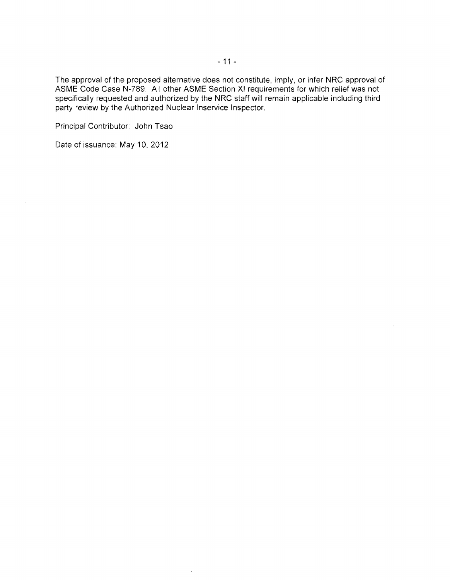The approval of the proposed alternative does not constitute, imply, or infer NRC approval of ASME Code Case N-789. All other ASME Section XI requirements for which relief was not specifically requested and authorized by the NRC staff will remain applicable including third party review by the Authorized Nuclear Inservice Inspector.

 $\bar{z}$ 

Principal Contributor: John Tsao

Date of issuance: May **10, 2012**